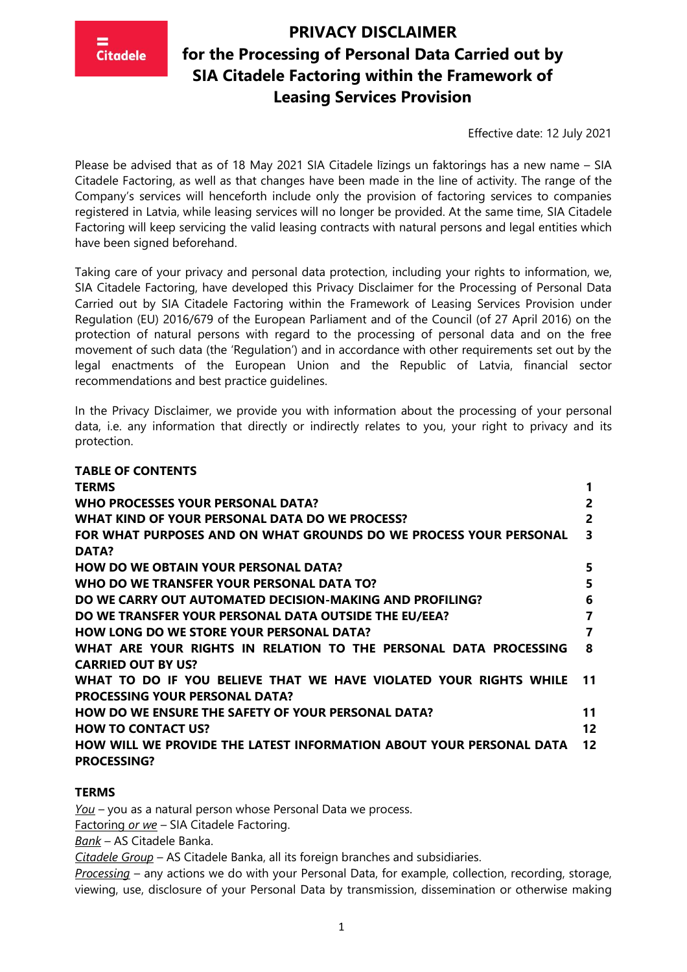

Effective date: 12 July 2021

Please be advised that as of 18 May 2021 SIA Citadele līzings un faktorings has a new name – SIA Citadele Factoring, as well as that changes have been made in the line of activity. The range of the Company's services will henceforth include only the provision of factoring services to companies registered in Latvia, while leasing services will no longer be provided. At the same time, SIA Citadele Factoring will keep servicing the valid leasing contracts with natural persons and legal entities which have been signed beforehand.

Taking care of your privacy and personal data protection, including your rights to information, we, SIA Citadele Factoring, have developed this Privacy Disclaimer for the Processing of Personal Data Carried out by SIA Citadele Factoring within the Framework of Leasing Services Provision under Regulation (EU) 2016/679 of the European Parliament and of the Council (of 27 April 2016) on the protection of natural persons with regard to the processing of personal data and on the free movement of such data (the 'Regulation') and in accordance with other requirements set out by the legal enactments of the European Union and the Republic of Latvia, financial sector recommendations and best practice guidelines.

In the Privacy Disclaimer, we provide you with information about the processing of your personal data, i.e. any information that directly or indirectly relates to you, your right to privacy and its protection.

| <b>TABLE OF CONTENTS</b>                                            |                |
|---------------------------------------------------------------------|----------------|
| <b>TERMS</b>                                                        |                |
| WHO PROCESSES YOUR PERSONAL DATA?                                   | $\overline{2}$ |
| WHAT KIND OF YOUR PERSONAL DATA DO WE PROCESS?                      | $\overline{2}$ |
| FOR WHAT PURPOSES AND ON WHAT GROUNDS DO WE PROCESS YOUR PERSONAL   | 3              |
| DATA?                                                               |                |
| <b>HOW DO WE OBTAIN YOUR PERSONAL DATA?</b>                         | 5              |
| WHO DO WE TRANSFER YOUR PERSONAL DATA TO?                           | 5              |
| DO WE CARRY OUT AUTOMATED DECISION-MAKING AND PROFILING?            | 6              |
| DO WE TRANSFER YOUR PERSONAL DATA OUTSIDE THE EU/EEA?               | 7              |
| <b>HOW LONG DO WE STORE YOUR PERSONAL DATA?</b>                     | 7              |
| WHAT ARE YOUR RIGHTS IN RELATION TO THE PERSONAL DATA PROCESSING    | 8              |
| <b>CARRIED OUT BY US?</b>                                           |                |
| WHAT TO DO IF YOU BELIEVE THAT WE HAVE VIOLATED YOUR RIGHTS WHILE   | 11             |
| <b>PROCESSING YOUR PERSONAL DATA?</b>                               |                |
| <b>HOW DO WE ENSURE THE SAFETY OF YOUR PERSONAL DATA?</b>           | 11             |
| <b>HOW TO CONTACT US?</b>                                           | 12             |
| HOW WILL WE PROVIDE THE LATEST INFORMATION ABOUT YOUR PERSONAL DATA | 12             |
| <b>PROCESSING?</b>                                                  |                |
|                                                                     |                |

#### **TERMS**

*You* – you as a natural person whose Personal Data we process.

Factoring *or we* – SIA Citadele Factoring.

*Bank* – AS Citadele Banka.

*Citadele Group* – AS Citadele Banka, all its foreign branches and subsidiaries.

*Processing* – any actions we do with your Personal Data, for example, collection, recording, storage, viewing, use, disclosure of your Personal Data by transmission, dissemination or otherwise making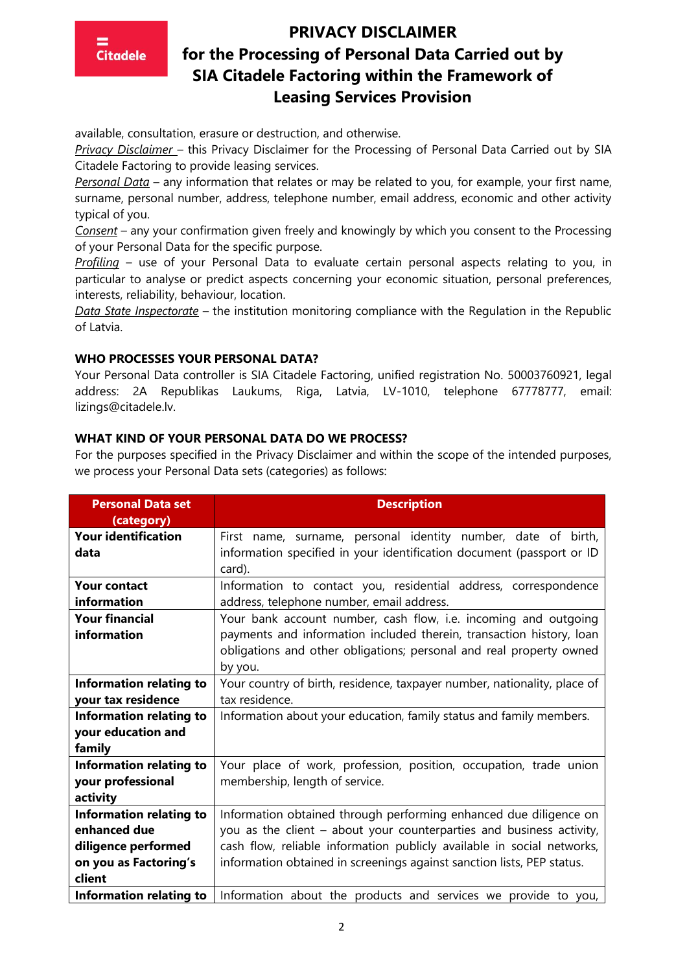### **PRIVACY DISCLAIMER**

**Citadele** 

# **for the Processing of Personal Data Carried out by SIA Citadele Factoring within the Framework of Leasing Services Provision**

available, consultation, erasure or destruction, and otherwise.

*Privacy Disclaimer* – this Privacy Disclaimer for the Processing of Personal Data Carried out by SIA Citadele Factoring to provide leasing services.

*Personal Data* – any information that relates or may be related to you, for example, your first name, surname, personal number, address, telephone number, email address, economic and other activity typical of you.

*Consent* – any your confirmation given freely and knowingly by which you consent to the Processing of your Personal Data for the specific purpose.

*Profiling* – use of your Personal Data to evaluate certain personal aspects relating to you, in particular to analyse or predict aspects concerning your economic situation, personal preferences, interests, reliability, behaviour, location.

*Data State Inspectorate* – the institution monitoring compliance with the Regulation in the Republic of Latvia.

#### **WHO PROCESSES YOUR PERSONAL DATA?**

Your Personal Data controller is SIA Citadele Factoring, unified registration No. 50003760921, legal address: 2A Republikas Laukums, Riga, Latvia, LV-1010, telephone 67778777, email: lizings@citadele.lv.

#### **WHAT KIND OF YOUR PERSONAL DATA DO WE PROCESS?**

For the purposes specified in the Privacy Disclaimer and within the scope of the intended purposes, we process your Personal Data sets (categories) as follows:

| <b>Personal Data set</b>       | <b>Description</b>                                                       |
|--------------------------------|--------------------------------------------------------------------------|
| (category)                     |                                                                          |
| <b>Your identification</b>     | First name, surname, personal identity number, date of birth,            |
| data                           | information specified in your identification document (passport or ID    |
|                                | card).                                                                   |
| <b>Your contact</b>            | Information to contact you, residential address, correspondence          |
| information                    | address, telephone number, email address.                                |
| <b>Your financial</b>          | Your bank account number, cash flow, i.e. incoming and outgoing          |
| information                    | payments and information included therein, transaction history, loan     |
|                                | obligations and other obligations; personal and real property owned      |
|                                | by you.                                                                  |
| <b>Information relating to</b> | Your country of birth, residence, taxpayer number, nationality, place of |
| your tax residence             | tax residence.                                                           |
| <b>Information relating to</b> | Information about your education, family status and family members.      |
| your education and             |                                                                          |
| family                         |                                                                          |
| Information relating to        | Your place of work, profession, position, occupation, trade union        |
| your professional              | membership, length of service.                                           |
| activity                       |                                                                          |
| <b>Information relating to</b> | Information obtained through performing enhanced due diligence on        |
| enhanced due                   | you as the client - about your counterparties and business activity,     |
| diligence performed            | cash flow, reliable information publicly available in social networks,   |
| on you as Factoring's          | information obtained in screenings against sanction lists, PEP status.   |
| client                         |                                                                          |
| <b>Information relating to</b> | Information about the products and services we provide to you,           |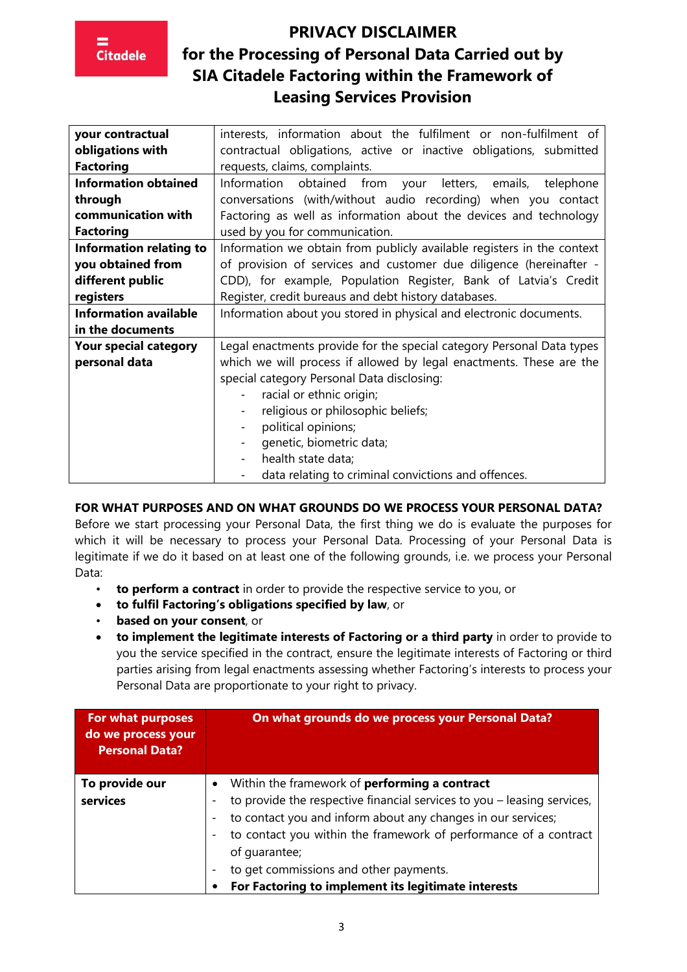| your contractual               | interests, information about the fulfilment or non-fulfilment of       |
|--------------------------------|------------------------------------------------------------------------|
| obligations with               | contractual obligations, active or inactive obligations, submitted     |
| <b>Factoring</b>               | requests, claims, complaints.                                          |
| <b>Information obtained</b>    | Information<br>obtained<br>from your letters, emails, telephone        |
| through                        | conversations (with/without audio recording) when you contact          |
| communication with             | Factoring as well as information about the devices and technology      |
| <b>Factoring</b>               | used by you for communication.                                         |
| <b>Information relating to</b> | Information we obtain from publicly available registers in the context |
| you obtained from              | of provision of services and customer due diligence (hereinafter -     |
| different public               | CDD), for example, Population Register, Bank of Latvia's Credit        |
| registers                      | Register, credit bureaus and debt history databases.                   |
| <b>Information available</b>   | Information about you stored in physical and electronic documents.     |
| in the documents               |                                                                        |
| <b>Your special category</b>   | Legal enactments provide for the special category Personal Data types  |
| personal data                  | which we will process if allowed by legal enactments. These are the    |
|                                | special category Personal Data disclosing:                             |
|                                | racial or ethnic origin;                                               |
|                                | religious or philosophic beliefs;                                      |
|                                | political opinions;                                                    |
|                                | genetic, biometric data;                                               |
|                                | health state data;                                                     |
|                                | data relating to criminal convictions and offences.                    |

### **FOR WHAT PURPOSES AND ON WHAT GROUNDS DO WE PROCESS YOUR PERSONAL DATA?**

Before we start processing your Personal Data, the first thing we do is evaluate the purposes for which it will be necessary to process your Personal Data. Processing of your Personal Data is legitimate if we do it based on at least one of the following grounds, i.e. we process your Personal Data:

- **to perform a contract** in order to provide the respective service to you, or
- **to fulfil Factoring's obligations specified by law**, or
- **based on your consent**, or
- **to implement the legitimate interests of Factoring or a third party** in order to provide to you the service specified in the contract, ensure the legitimate interests of Factoring or third parties arising from legal enactments assessing whether Factoring's interests to process your Personal Data are proportionate to your right to privacy.

| For what purposes<br>do we process your<br><b>Personal Data?</b> | On what grounds do we process your Personal Data?                       |
|------------------------------------------------------------------|-------------------------------------------------------------------------|
| To provide our                                                   | Within the framework of <b>performing a contract</b>                    |
| services                                                         | to provide the respective financial services to you - leasing services, |
|                                                                  | to contact you and inform about any changes in our services;            |
|                                                                  | to contact you within the framework of performance of a contract        |
|                                                                  | of quarantee;                                                           |
|                                                                  | to get commissions and other payments.                                  |
|                                                                  | For Factoring to implement its legitimate interests                     |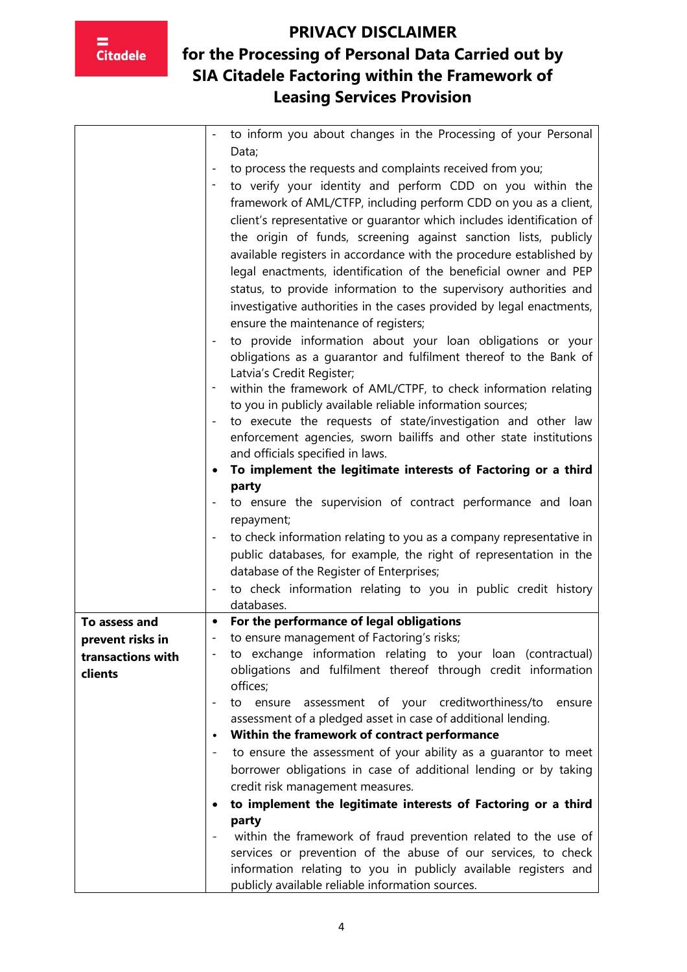

|                   | to inform you about changes in the Processing of your Personal                                                                  |
|-------------------|---------------------------------------------------------------------------------------------------------------------------------|
|                   | Data;                                                                                                                           |
|                   | to process the requests and complaints received from you;                                                                       |
|                   | to verify your identity and perform CDD on you within the                                                                       |
|                   | framework of AML/CTFP, including perform CDD on you as a client,                                                                |
|                   | client's representative or guarantor which includes identification of                                                           |
|                   | the origin of funds, screening against sanction lists, publicly                                                                 |
|                   | available registers in accordance with the procedure established by                                                             |
|                   | legal enactments, identification of the beneficial owner and PEP                                                                |
|                   | status, to provide information to the supervisory authorities and                                                               |
|                   |                                                                                                                                 |
|                   | investigative authorities in the cases provided by legal enactments,                                                            |
|                   | ensure the maintenance of registers;                                                                                            |
|                   | to provide information about your loan obligations or your                                                                      |
|                   | obligations as a guarantor and fulfilment thereof to the Bank of                                                                |
|                   | Latvia's Credit Register;                                                                                                       |
|                   | within the framework of AML/CTPF, to check information relating                                                                 |
|                   | to you in publicly available reliable information sources;                                                                      |
|                   | to execute the requests of state/investigation and other law                                                                    |
|                   | enforcement agencies, sworn bailiffs and other state institutions                                                               |
|                   | and officials specified in laws.                                                                                                |
|                   | To implement the legitimate interests of Factoring or a third                                                                   |
|                   | party                                                                                                                           |
|                   | to ensure the supervision of contract performance and loan                                                                      |
|                   | repayment;                                                                                                                      |
|                   | to check information relating to you as a company representative in                                                             |
|                   | public databases, for example, the right of representation in the                                                               |
|                   | database of the Register of Enterprises;                                                                                        |
|                   | to check information relating to you in public credit history                                                                   |
|                   | databases.                                                                                                                      |
| To assess and     | For the performance of legal obligations<br>$\bullet$                                                                           |
| prevent risks in  | to ensure management of Factoring's risks;<br>$\blacksquare$                                                                    |
| transactions with | to exchange information relating to your loan (contractual)<br>obligations and fulfilment thereof through credit information    |
| clients           | offices;                                                                                                                        |
|                   | to ensure assessment of your creditworthiness/to<br>ensure                                                                      |
|                   | assessment of a pledged asset in case of additional lending.                                                                    |
|                   | Within the framework of contract performance<br>$\bullet$                                                                       |
|                   | to ensure the assessment of your ability as a quarantor to meet                                                                 |
|                   | borrower obligations in case of additional lending or by taking                                                                 |
|                   |                                                                                                                                 |
|                   | credit risk management measures.                                                                                                |
|                   | to implement the legitimate interests of Factoring or a third                                                                   |
|                   | party                                                                                                                           |
|                   | within the framework of fraud prevention related to the use of<br>services or prevention of the abuse of our services, to check |
|                   | information relating to you in publicly available registers and                                                                 |
|                   | publicly available reliable information sources.                                                                                |
|                   |                                                                                                                                 |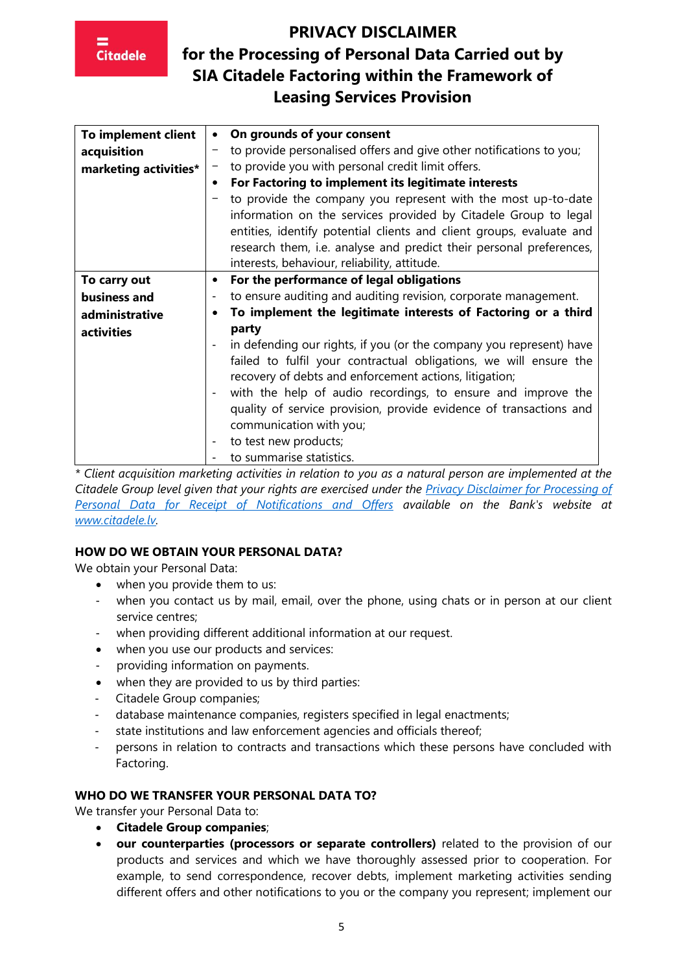# **Citadele**

# **PRIVACY DISCLAIMER for the Processing of Personal Data Carried out by SIA Citadele Factoring within the Framework of Leasing Services Provision**

| To implement client   |                          | On grounds of your consent                                           |
|-----------------------|--------------------------|----------------------------------------------------------------------|
| acquisition           |                          | to provide personalised offers and give other notifications to you;  |
| marketing activities* |                          | to provide you with personal credit limit offers.                    |
|                       | $\bullet$                | For Factoring to implement its legitimate interests                  |
|                       |                          | to provide the company you represent with the most up-to-date        |
|                       |                          | information on the services provided by Citadele Group to legal      |
|                       |                          | entities, identify potential clients and client groups, evaluate and |
|                       |                          | research them, i.e. analyse and predict their personal preferences,  |
|                       |                          | interests, behaviour, reliability, attitude.                         |
| To carry out          | $\bullet$                | For the performance of legal obligations                             |
| business and          |                          | to ensure auditing and auditing revision, corporate management.      |
| administrative        |                          | To implement the legitimate interests of Factoring or a third        |
| activities            |                          | party                                                                |
|                       |                          | in defending our rights, if you (or the company you represent) have  |
|                       |                          | failed to fulfil your contractual obligations, we will ensure the    |
|                       |                          | recovery of debts and enforcement actions, litigation;               |
|                       |                          | with the help of audio recordings, to ensure and improve the         |
|                       |                          | quality of service provision, provide evidence of transactions and   |
|                       |                          | communication with you;                                              |
|                       | $\overline{\phantom{a}}$ | to test new products;                                                |
|                       |                          | to summarise statistics.                                             |

*\* Client acquisition marketing activities in relation to you as a natural person are implemented at the Citadele Group level given that your rights are exercised under the [Privacy Disclaimer for Processing of](https://www.citadele.lv/en/support/personal-data/terms/)  [Personal Data for Receipt of](https://www.citadele.lv/en/support/personal-data/terms/) Notifications and Offers available on the Bank's website at [www.citadele.lv.](http://www.citadele.lv/)*

### **HOW DO WE OBTAIN YOUR PERSONAL DATA?**

We obtain your Personal Data:

- when you provide them to us:
- when you contact us by mail, email, over the phone, using chats or in person at our client service centres;
- when providing different additional information at our request.
- when you use our products and services:
- providing information on payments.
- when they are provided to us by third parties:
- Citadele Group companies;
- database maintenance companies, registers specified in legal enactments;
- state institutions and law enforcement agencies and officials thereof;
- persons in relation to contracts and transactions which these persons have concluded with Factoring.

#### **WHO DO WE TRANSFER YOUR PERSONAL DATA TO?**

We transfer your Personal Data to:

- **Citadele Group companies**;
- **our counterparties (processors or separate controllers)** related to the provision of our products and services and which we have thoroughly assessed prior to cooperation. For example, to send correspondence, recover debts, implement marketing activities sending different offers and other notifications to you or the company you represent; implement our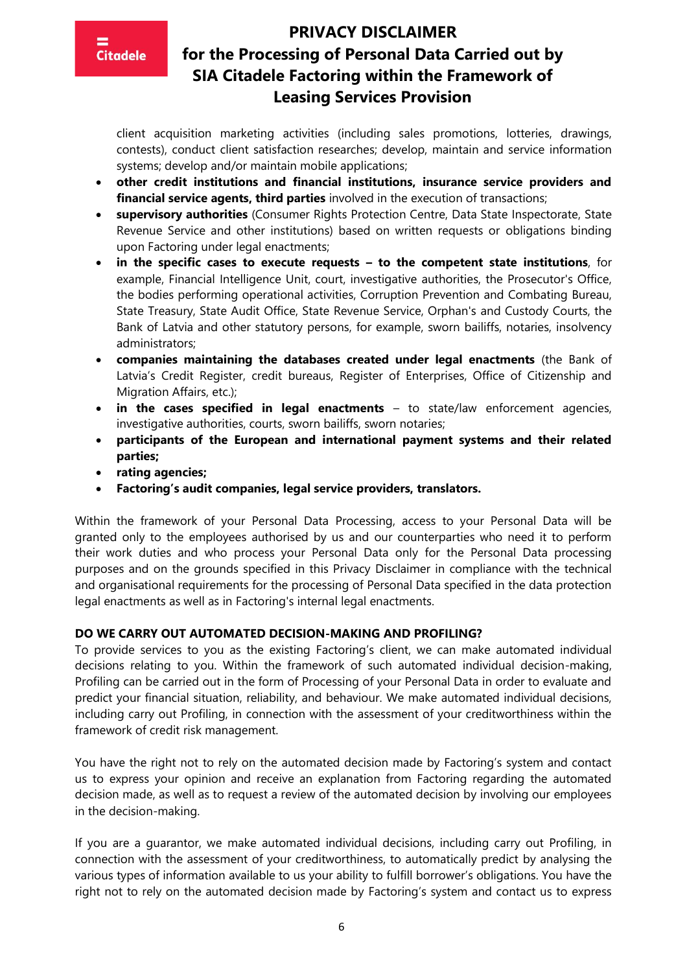

### **PRIVACY DISCLAIMER**

### **for the Processing of Personal Data Carried out by SIA Citadele Factoring within the Framework of Leasing Services Provision**

client acquisition marketing activities (including sales promotions, lotteries, drawings, contests), conduct client satisfaction researches; develop, maintain and service information systems; develop and/or maintain mobile applications;

- **other credit institutions and financial institutions, insurance service providers and financial service agents, third parties** involved in the execution of transactions;
- **supervisory authorities** (Consumer Rights Protection Centre, Data State Inspectorate, State Revenue Service and other institutions) based on written requests or obligations binding upon Factoring under legal enactments;
- **in the specific cases to execute requests – to the competent state institutions**, for example, Financial Intelligence Unit, court, investigative authorities, the Prosecutor's Office, the bodies performing operational activities, Corruption Prevention and Combating Bureau, State Treasury, State Audit Office, State Revenue Service, Orphan's and Custody Courts, the Bank of Latvia and other statutory persons, for example, sworn bailiffs, notaries, insolvency administrators;
- **companies maintaining the databases created under legal enactments** (the Bank of Latvia's Credit Register, credit bureaus, Register of Enterprises, Office of Citizenship and Migration Affairs, etc.);
- **in the cases specified in legal enactments**  to state/law enforcement agencies, investigative authorities, courts, sworn bailiffs, sworn notaries;
- **participants of the European and international payment systems and their related parties;**
- **rating agencies;**
- **Factoring's audit companies, legal service providers, translators.**

Within the framework of your Personal Data Processing, access to your Personal Data will be granted only to the employees authorised by us and our counterparties who need it to perform their work duties and who process your Personal Data only for the Personal Data processing purposes and on the grounds specified in this Privacy Disclaimer in compliance with the technical and organisational requirements for the processing of Personal Data specified in the data protection legal enactments as well as in Factoring's internal legal enactments.

#### **DO WE CARRY OUT AUTOMATED DECISION-MAKING AND PROFILING?**

To provide services to you as the existing Factoring's client, we can make automated individual decisions relating to you. Within the framework of such automated individual decision-making, Profiling can be carried out in the form of Processing of your Personal Data in order to evaluate and predict your financial situation, reliability, and behaviour. We make automated individual decisions, including carry out Profiling, in connection with the assessment of your creditworthiness within the framework of credit risk management.

You have the right not to rely on the automated decision made by Factoring's system and contact us to express your opinion and receive an explanation from Factoring regarding the automated decision made, as well as to request a review of the automated decision by involving our employees in the decision-making.

If you are a guarantor, we make automated individual decisions, including carry out Profiling, in connection with the assessment of your creditworthiness, to automatically predict by analysing the various types of information available to us your ability to fulfill borrower's obligations. You have the right not to rely on the automated decision made by Factoring's system and contact us to express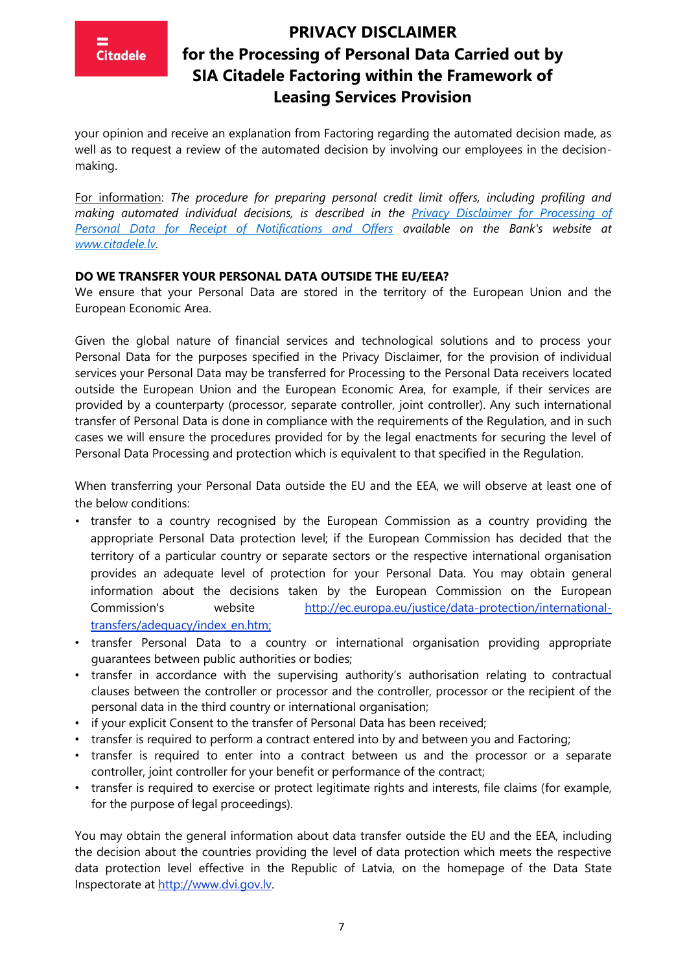your opinion and receive an explanation from Factoring regarding the automated decision made, as well as to request a review of the automated decision by involving our employees in the decisionmaking.

For information: *The procedure for preparing personal credit limit offers, including profiling and making automated individual decisions, is described in the [Privacy Disclaimer for Processing of](https://www.citadele.lv/en/support/personal-data/terms/)  [Personal Data for Receipt of Notifications and Offers](https://www.citadele.lv/en/support/personal-data/terms/) available on the Bank's website at [www.citadele.lv.](http://www.citadele.lv/)*

#### **DO WE TRANSFER YOUR PERSONAL DATA OUTSIDE THE EU/EEA?**

We ensure that your Personal Data are stored in the territory of the European Union and the European Economic Area.

Given the global nature of financial services and technological solutions and to process your Personal Data for the purposes specified in the Privacy Disclaimer, for the provision of individual services your Personal Data may be transferred for Processing to the Personal Data receivers located outside the European Union and the European Economic Area, for example, if their services are provided by a counterparty (processor, separate controller, joint controller). Any such international transfer of Personal Data is done in compliance with the requirements of the Regulation, and in such cases we will ensure the procedures provided for by the legal enactments for securing the level of Personal Data Processing and protection which is equivalent to that specified in the Regulation.

When transferring your Personal Data outside the EU and the EEA, we will observe at least one of the below conditions:

- transfer to a country recognised by the European Commission as a country providing the appropriate Personal Data protection level; if the European Commission has decided that the territory of a particular country or separate sectors or the respective international organisation provides an adequate level of protection for your Personal Data. You may obtain general information about the decisions taken by the European Commission on the European Commission's website [http://ec.europa.eu/justice/data-protection/international](http://ec.europa.eu/justice/data-protection/international-transfers/adequacy/index_en.htm)[transfers/adequacy/index\\_en.htm;](http://ec.europa.eu/justice/data-protection/international-transfers/adequacy/index_en.htm)
- transfer Personal Data to a country or international organisation providing appropriate guarantees between public authorities or bodies;
- transfer in accordance with the supervising authority's authorisation relating to contractual clauses between the controller or processor and the controller, processor or the recipient of the personal data in the third country or international organisation;
- if your explicit Consent to the transfer of Personal Data has been received;
- transfer is required to perform a contract entered into by and between you and Factoring;
- transfer is required to enter into a contract between us and the processor or a separate controller, joint controller for your benefit or performance of the contract;
- transfer is required to exercise or protect legitimate rights and interests, file claims (for example, for the purpose of legal proceedings).

You may obtain the general information about data transfer outside the EU and the EEA, including the decision about the countries providing the level of data protection which meets the respective data protection level effective in the Republic of Latvia, on the homepage of the Data State Inspectorate at [http://www.dvi.gov.lv.](http://www.dvi.gov.lv/)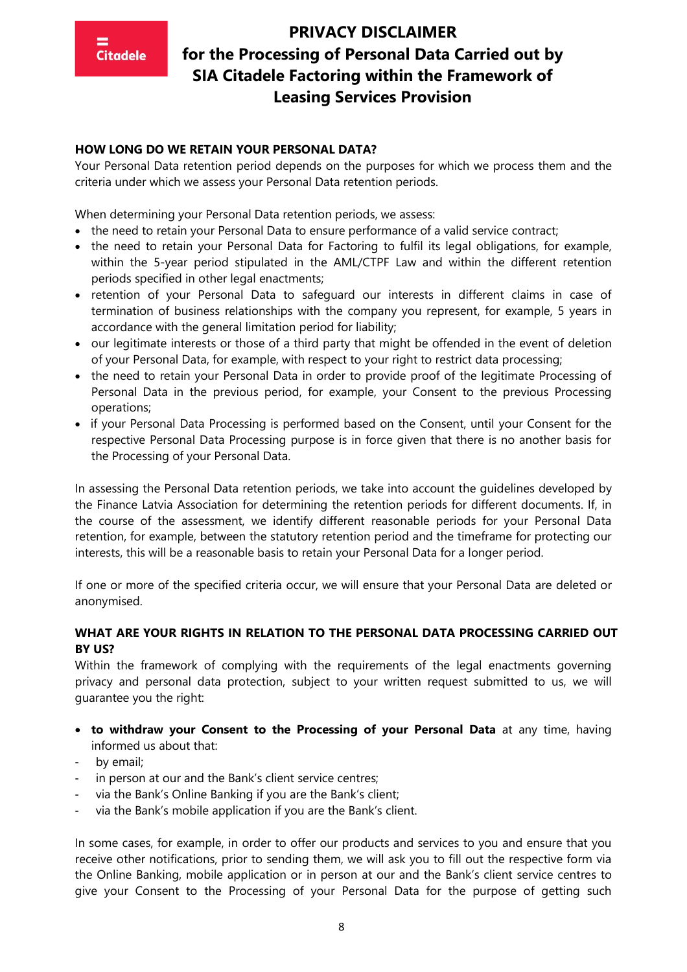

#### **HOW LONG DO WE RETAIN YOUR PERSONAL DATA?**

Your Personal Data retention period depends on the purposes for which we process them and the criteria under which we assess your Personal Data retention periods.

When determining your Personal Data retention periods, we assess:

- the need to retain your Personal Data to ensure performance of a valid service contract;
- the need to retain your Personal Data for Factoring to fulfil its legal obligations, for example, within the 5-year period stipulated in the AML/CTPF Law and within the different retention periods specified in other legal enactments;
- retention of your Personal Data to safeguard our interests in different claims in case of termination of business relationships with the company you represent, for example, 5 years in accordance with the general limitation period for liability;
- our legitimate interests or those of a third party that might be offended in the event of deletion of your Personal Data, for example, with respect to your right to restrict data processing;
- the need to retain your Personal Data in order to provide proof of the legitimate Processing of Personal Data in the previous period, for example, your Consent to the previous Processing operations;
- if your Personal Data Processing is performed based on the Consent, until your Consent for the respective Personal Data Processing purpose is in force given that there is no another basis for the Processing of your Personal Data.

In assessing the Personal Data retention periods, we take into account the guidelines developed by the Finance Latvia Association for determining the retention periods for different documents. If, in the course of the assessment, we identify different reasonable periods for your Personal Data retention, for example, between the statutory retention period and the timeframe for protecting our interests, this will be a reasonable basis to retain your Personal Data for a longer period.

If one or more of the specified criteria occur, we will ensure that your Personal Data are deleted or anonymised.

### **WHAT ARE YOUR RIGHTS IN RELATION TO THE PERSONAL DATA PROCESSING CARRIED OUT BY US?**

Within the framework of complying with the requirements of the legal enactments governing privacy and personal data protection, subject to your written request submitted to us, we will guarantee you the right:

- **to withdraw your Consent to the Processing of your Personal Data** at any time, having informed us about that:
- by email;
- in person at our and the Bank's client service centres;
- via the Bank's Online Banking if you are the Bank's client;
- via the Bank's mobile application if you are the Bank's client.

In some cases, for example, in order to offer our products and services to you and ensure that you receive other notifications, prior to sending them, we will ask you to fill out the respective form via the Online Banking, mobile application or in person at our and the Bank's client service centres to give your Consent to the Processing of your Personal Data for the purpose of getting such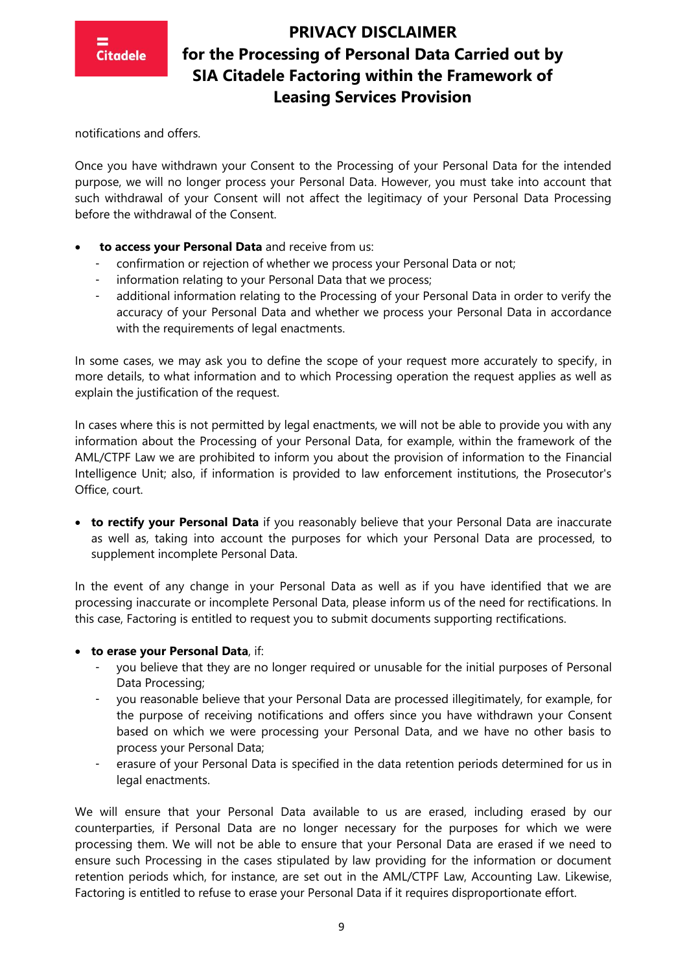

notifications and offers.

Once you have withdrawn your Consent to the Processing of your Personal Data for the intended purpose, we will no longer process your Personal Data. However, you must take into account that such withdrawal of your Consent will not affect the legitimacy of your Personal Data Processing before the withdrawal of the Consent.

- **to access your Personal Data** and receive from us:
	- confirmation or rejection of whether we process your Personal Data or not;
	- information relating to your Personal Data that we process;
	- additional information relating to the Processing of your Personal Data in order to verify the accuracy of your Personal Data and whether we process your Personal Data in accordance with the requirements of legal enactments.

In some cases, we may ask you to define the scope of your request more accurately to specify, in more details, to what information and to which Processing operation the request applies as well as explain the justification of the request.

In cases where this is not permitted by legal enactments, we will not be able to provide you with any information about the Processing of your Personal Data, for example, within the framework of the AML/CTPF Law we are prohibited to inform you about the provision of information to the Financial Intelligence Unit; also, if information is provided to law enforcement institutions, the Prosecutor's Office, court.

• **to rectify your Personal Data** if you reasonably believe that your Personal Data are inaccurate as well as, taking into account the purposes for which your Personal Data are processed, to supplement incomplete Personal Data.

In the event of any change in your Personal Data as well as if you have identified that we are processing inaccurate or incomplete Personal Data, please inform us of the need for rectifications. In this case, Factoring is entitled to request you to submit documents supporting rectifications.

#### • **to erase your Personal Data**, if:

- you believe that they are no longer required or unusable for the initial purposes of Personal Data Processing;
- you reasonable believe that your Personal Data are processed illegitimately, for example, for the purpose of receiving notifications and offers since you have withdrawn your Consent based on which we were processing your Personal Data, and we have no other basis to process your Personal Data;
- erasure of your Personal Data is specified in the data retention periods determined for us in legal enactments.

We will ensure that your Personal Data available to us are erased, including erased by our counterparties, if Personal Data are no longer necessary for the purposes for which we were processing them. We will not be able to ensure that your Personal Data are erased if we need to ensure such Processing in the cases stipulated by law providing for the information or document retention periods which, for instance, are set out in the AML/CTPF Law, Accounting Law. Likewise, Factoring is entitled to refuse to erase your Personal Data if it requires disproportionate effort.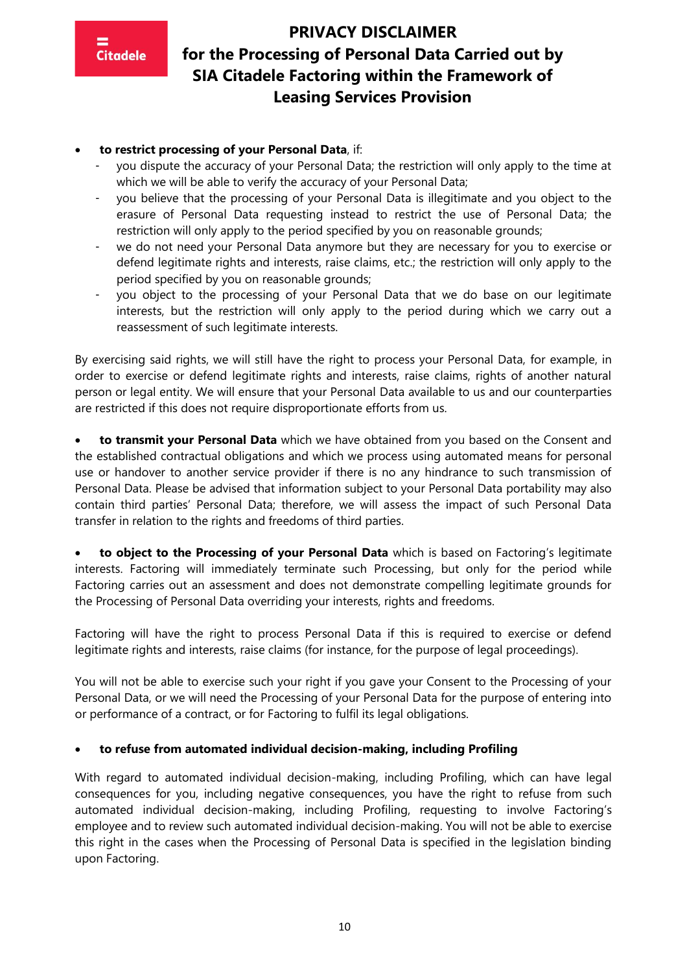

### • **to restrict processing of your Personal Data**, if:

- you dispute the accuracy of your Personal Data; the restriction will only apply to the time at which we will be able to verify the accuracy of your Personal Data;
- you believe that the processing of your Personal Data is illegitimate and you object to the erasure of Personal Data requesting instead to restrict the use of Personal Data; the restriction will only apply to the period specified by you on reasonable grounds;
- we do not need your Personal Data anymore but they are necessary for you to exercise or defend legitimate rights and interests, raise claims, etc.; the restriction will only apply to the period specified by you on reasonable grounds;
- you object to the processing of your Personal Data that we do base on our legitimate interests, but the restriction will only apply to the period during which we carry out a reassessment of such legitimate interests.

By exercising said rights, we will still have the right to process your Personal Data, for example, in order to exercise or defend legitimate rights and interests, raise claims, rights of another natural person or legal entity. We will ensure that your Personal Data available to us and our counterparties are restricted if this does not require disproportionate efforts from us.

• **to transmit your Personal Data** which we have obtained from you based on the Consent and the established contractual obligations and which we process using automated means for personal use or handover to another service provider if there is no any hindrance to such transmission of Personal Data. Please be advised that information subject to your Personal Data portability may also contain third parties' Personal Data; therefore, we will assess the impact of such Personal Data transfer in relation to the rights and freedoms of third parties.

• **to object to the Processing of your Personal Data** which is based on Factoring's legitimate interests. Factoring will immediately terminate such Processing, but only for the period while Factoring carries out an assessment and does not demonstrate compelling legitimate grounds for the Processing of Personal Data overriding your interests, rights and freedoms.

Factoring will have the right to process Personal Data if this is required to exercise or defend legitimate rights and interests, raise claims (for instance, for the purpose of legal proceedings).

You will not be able to exercise such your right if you gave your Consent to the Processing of your Personal Data, or we will need the Processing of your Personal Data for the purpose of entering into or performance of a contract, or for Factoring to fulfil its legal obligations.

#### • **to refuse from automated individual decision-making, including Profiling**

With regard to automated individual decision-making, including Profiling, which can have legal consequences for you, including negative consequences, you have the right to refuse from such automated individual decision-making, including Profiling, requesting to involve Factoring's employee and to review such automated individual decision-making. You will not be able to exercise this right in the cases when the Processing of Personal Data is specified in the legislation binding upon Factoring.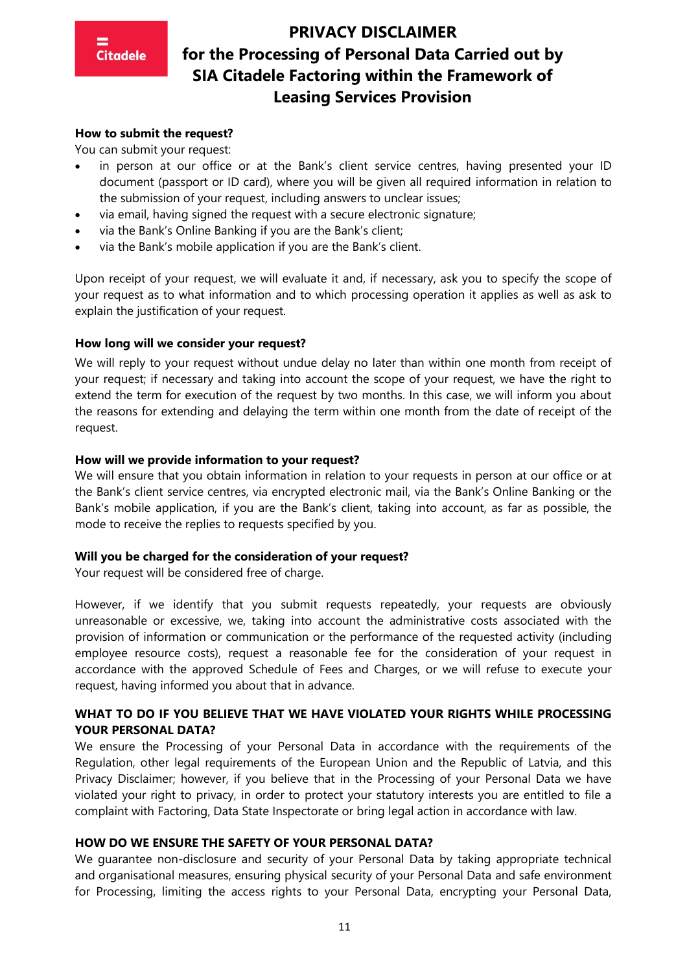# **Citadele**

# **PRIVACY DISCLAIMER for the Processing of Personal Data Carried out by SIA Citadele Factoring within the Framework of Leasing Services Provision**

#### **How to submit the request?**

You can submit your request:

- in person at our office or at the Bank's client service centres, having presented your ID document (passport or ID card), where you will be given all required information in relation to the submission of your request, including answers to unclear issues;
- via email, having signed the request with a secure electronic signature;
- via the Bank's Online Banking if you are the Bank's client;
- via the Bank's mobile application if you are the Bank's client.

Upon receipt of your request, we will evaluate it and, if necessary, ask you to specify the scope of your request as to what information and to which processing operation it applies as well as ask to explain the justification of your request.

#### **How long will we consider your request?**

We will reply to your request without undue delay no later than within one month from receipt of your request; if necessary and taking into account the scope of your request, we have the right to extend the term for execution of the request by two months. In this case, we will inform you about the reasons for extending and delaying the term within one month from the date of receipt of the request.

#### **How will we provide information to your request?**

We will ensure that you obtain information in relation to your requests in person at our office or at the Bank's client service centres, via encrypted electronic mail, via the Bank's Online Banking or the Bank's mobile application, if you are the Bank's client, taking into account, as far as possible, the mode to receive the replies to requests specified by you.

#### **Will you be charged for the consideration of your request?**

Your request will be considered free of charge.

However, if we identify that you submit requests repeatedly, your requests are obviously unreasonable or excessive, we, taking into account the administrative costs associated with the provision of information or communication or the performance of the requested activity (including employee resource costs), request a reasonable fee for the consideration of your request in accordance with the approved Schedule of Fees and Charges, or we will refuse to execute your request, having informed you about that in advance.

### **WHAT TO DO IF YOU BELIEVE THAT WE HAVE VIOLATED YOUR RIGHTS WHILE PROCESSING YOUR PERSONAL DATA?**

We ensure the Processing of your Personal Data in accordance with the requirements of the Regulation, other legal requirements of the European Union and the Republic of Latvia, and this Privacy Disclaimer; however, if you believe that in the Processing of your Personal Data we have violated your right to privacy, in order to protect your statutory interests you are entitled to file a complaint with Factoring, Data State Inspectorate or bring legal action in accordance with law.

#### **HOW DO WE ENSURE THE SAFETY OF YOUR PERSONAL DATA?**

We guarantee non-disclosure and security of your Personal Data by taking appropriate technical and organisational measures, ensuring physical security of your Personal Data and safe environment for Processing, limiting the access rights to your Personal Data, encrypting your Personal Data,